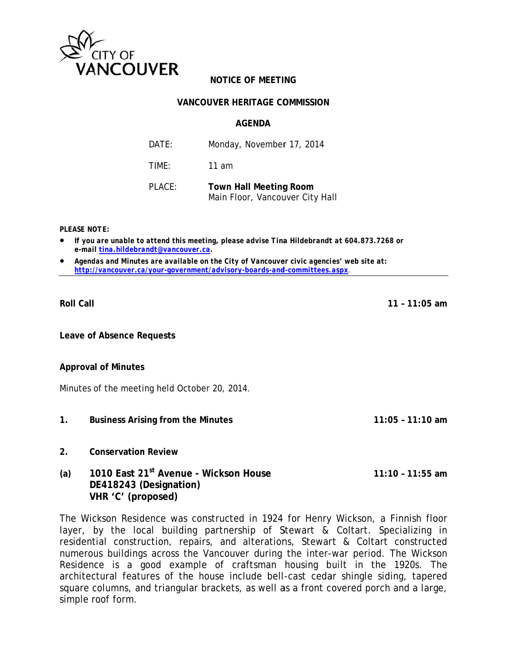

## **NOTICE OF MEETING**

### **VANCOUVER HERITAGE COMMISSION**

### **AGENDA**

| DATE:  | Monday, November 17, 2014                                        |
|--------|------------------------------------------------------------------|
| TIMF:  | 11 am                                                            |
| PLACE: | <b>Town Hall Meeting Room</b><br>Main Floor, Vancouver City Hall |

**PLEASE NOTE:** 

- If you are unable to attend this meeting, please advise Tina Hildebrandt at 604.873.7268 or e-mail tina.hildebrandt@vancouver.ca.
- Agendas and Minutes are available on the City of Vancouver civic agencies' web site at: http://vancouver.ca/your-government/advisory-boards-and-committees.aspx.

**Roll Call** 

**Leave of Absence Requests** 

### **Approval of Minutes**

Minutes of the meeting held October 20, 2014.

- $1.$ **Business Arising from the Minutes**
- $2<sup>1</sup>$ **Conservation Review**
- 1010 East 21<sup>st</sup> Avenue Wickson House  $(a)$  $11:10 - 11:55$  am DE418243 (Designation) VHR 'C' (proposed)

The Wickson Residence was constructed in 1924 for Henry Wickson, a Finnish floor layer, by the local building partnership of Stewart & Coltart. Specializing in residential construction, repairs, and alterations, Stewart & Coltart constructed numerous buildings across the Vancouver during the inter-war period. The Wickson Residence is a good example of craftsman housing built in the 1920s. The architectural features of the house include bell-cast cedar shingle siding, tapered square columns, and triangular brackets, as well as a front covered porch and a large, simple roof form.

 $11 - 11:05$  am

 $11:05 - 11:10$  am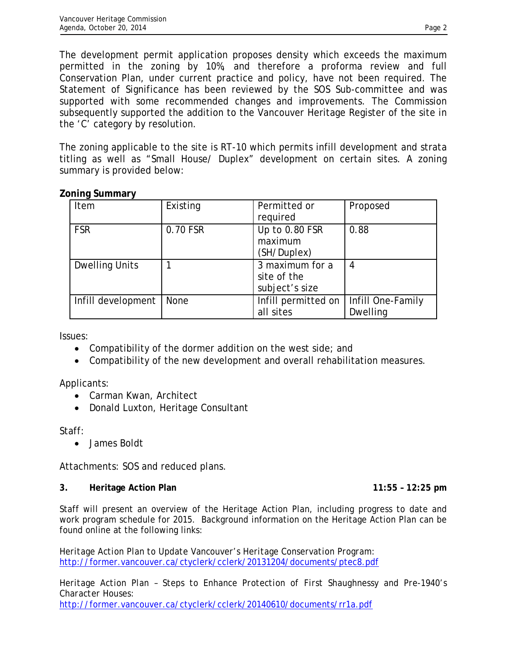The development permit application proposes density which exceeds the maximum permitted in the zoning by 10%, and therefore a proforma review and full Conservation Plan, under current practice and policy, have not been required. The Statement of Significance has been reviewed by the SOS Sub-committee and was supported with some recommended changes and improvements. The Commission subsequently supported the addition to the Vancouver Heritage Register of the site in the 'C' category by resolution.

The zoning applicable to the site is RT-10 which permits infill development and strata titling as well as "Small House/ Duplex" development on certain sites. A zoning summary is provided below:

# **Zoning Summary**

| <b>Item</b>           | Existing    | Permitted or        | Proposed          |
|-----------------------|-------------|---------------------|-------------------|
|                       |             | required            |                   |
| <b>FSR</b>            | 0.70 FSR    | Up to 0.80 FSR      | 0.88              |
|                       |             | maximum             |                   |
|                       |             | (SH/Duplex)         |                   |
| <b>Dwelling Units</b> |             | 3 maximum for a     | 4                 |
|                       |             | site of the         |                   |
|                       |             | subject's size      |                   |
| Infill development    | <b>None</b> | Infill permitted on | Infill One-Family |
|                       |             | all sites           | Dwelling          |

Issues:

- Compatibility of the dormer addition on the west side; and
- Compatibility of the new development and overall rehabilitation measures.

Applicants:

- Carman Kwan, Architect
- Donald Luxton, Heritage Consultant

Staff:

• James Boldt

Attachments: SOS and reduced plans.

## **3. Heritage Action Plan 11:55 – 12:25 pm**

Staff will present an overview of the Heritage Action Plan, including progress to date and work program schedule for 2015. Background information on the Heritage Action Plan can be found online at the following links:

*Heritage Action Plan to Update Vancouver's Heritage Conservation Program:*  http://former.vancouver.ca/ctyclerk/cclerk/20131204/documents/ptec8.pdf

*Heritage Action Plan – Steps to Enhance Protection of First Shaughnessy and Pre-1940's Character Houses:*  http://former.vancouver.ca/ctyclerk/cclerk/20140610/documents/rr1a.pdf